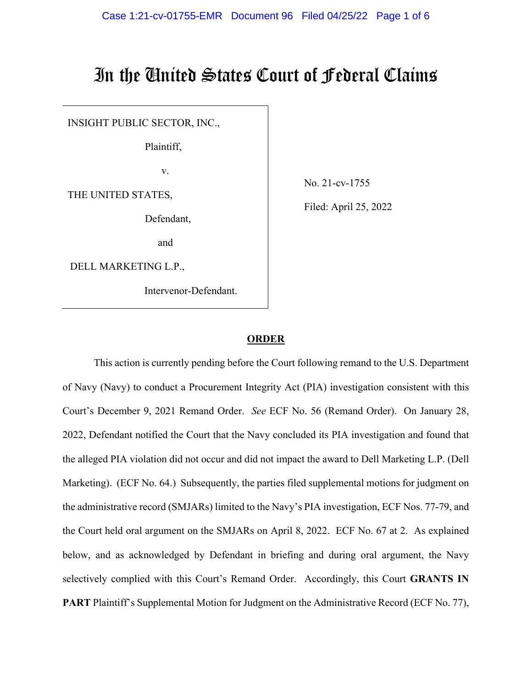# In the United States Court of Federal Claims

INSIGHT PUBLIC SECTOR, INC.,

Plaintiff,

v.

THE UNITED STATES,

Defendant,

and

DELL MARKETING L.P.,

Intervenor-Defendant.

No. 21-cv-1755

Filed: April 25, 2022

#### **ORDER**

This action is currently pending before the Court following remand to the U.S. Department of Navy (Navy) to conduct a Procurement Integrity Act (PIA) investigation consistent with this Court's December 9, 2021 Remand Order. *See* ECF No. 56 (Remand Order). On January 28, 2022, Defendant notified the Court that the Navy concluded its PIA investigation and found that the alleged PIA violation did not occur and did not impact the award to Dell Marketing L.P. (Dell Marketing). (ECF No. 64.) Subsequently, the parties filed supplemental motions for judgment on the administrative record (SMJARs) limited to the Navy's PIA investigation, ECF Nos. 77-79, and the Court held oral argument on the SMJARs on April 8, 2022. ECF No. 67 at 2. As explained below, and as acknowledged by Defendant in briefing and during oral argument, the Navy selectively complied with this Court's Remand Order. Accordingly, this Court **GRANTS IN PART** Plaintiff's Supplemental Motion for Judgment on the Administrative Record (ECF No. 77),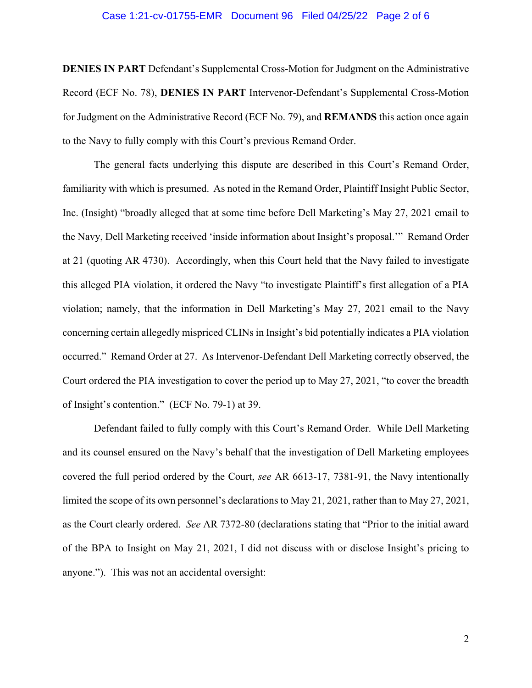#### Case 1:21-cv-01755-EMR Document 96 Filed 04/25/22 Page 2 of 6

**DENIES IN PART** Defendant's Supplemental Cross-Motion for Judgment on the Administrative Record (ECF No. 78), **DENIES IN PART** Intervenor-Defendant's Supplemental Cross-Motion for Judgment on the Administrative Record (ECF No. 79), and **REMANDS** this action once again to the Navy to fully comply with this Court's previous Remand Order.

The general facts underlying this dispute are described in this Court's Remand Order, familiarity with which is presumed. As noted in the Remand Order, Plaintiff Insight Public Sector, Inc. (Insight) "broadly alleged that at some time before Dell Marketing's May 27, 2021 email to the Navy, Dell Marketing received 'inside information about Insight's proposal.'" Remand Order at 21 (quoting AR 4730). Accordingly, when this Court held that the Navy failed to investigate this alleged PIA violation, it ordered the Navy "to investigate Plaintiff's first allegation of a PIA violation; namely, that the information in Dell Marketing's May 27, 2021 email to the Navy concerning certain allegedly mispriced CLINs in Insight's bid potentially indicates a PIA violation occurred." Remand Order at 27. As Intervenor-Defendant Dell Marketing correctly observed, the Court ordered the PIA investigation to cover the period up to May 27, 2021, "to cover the breadth of Insight's contention." (ECF No. 79-1) at 39.

Defendant failed to fully comply with this Court's Remand Order. While Dell Marketing and its counsel ensured on the Navy's behalf that the investigation of Dell Marketing employees covered the full period ordered by the Court, *see* AR 6613-17, 7381-91, the Navy intentionally limited the scope of its own personnel's declarations to May 21, 2021, rather than to May 27, 2021, as the Court clearly ordered. *See* AR 7372-80 (declarations stating that "Prior to the initial award of the BPA to Insight on May 21, 2021, I did not discuss with or disclose Insight's pricing to anyone."). This was not an accidental oversight: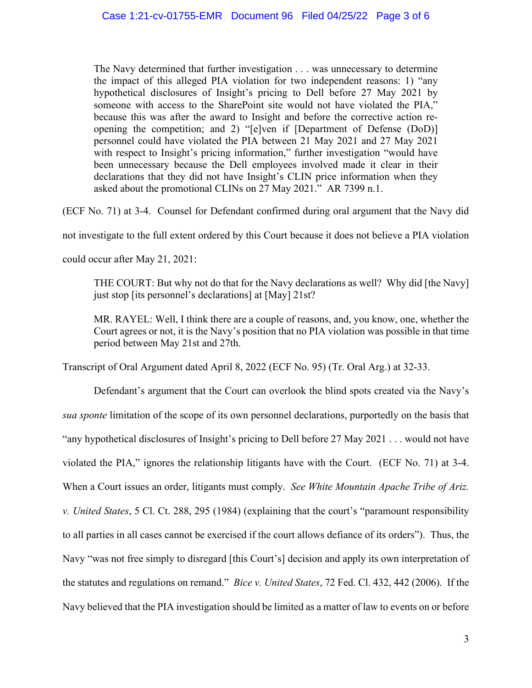The Navy determined that further investigation . . . was unnecessary to determine the impact of this alleged PIA violation for two independent reasons: 1) "any hypothetical disclosures of Insight's pricing to Dell before 27 May 2021 by someone with access to the SharePoint site would not have violated the PIA," because this was after the award to Insight and before the corrective action reopening the competition; and 2) "[e]ven if [Department of Defense (DoD)] personnel could have violated the PIA between 21 May 2021 and 27 May 2021 with respect to Insight's pricing information," further investigation "would have been unnecessary because the Dell employees involved made it clear in their declarations that they did not have Insight's CLIN price information when they asked about the promotional CLINs on 27 May 2021." AR 7399 n.1.

(ECF No. 71) at 3-4. Counsel for Defendant confirmed during oral argument that the Navy did

not investigate to the full extent ordered by this Court because it does not believe a PIA violation

could occur after May 21, 2021:

THE COURT: But why not do that for the Navy declarations as well? Why did [the Navy] just stop [its personnel's declarations] at [May] 21st?

MR. RAYEL: Well, I think there are a couple of reasons, and, you know, one, whether the Court agrees or not, it is the Navy's position that no PIA violation was possible in that time period between May 21st and 27th.

Transcript of Oral Argument dated April 8, 2022 (ECF No. 95) (Tr. Oral Arg.) at 32-33.

Defendant's argument that the Court can overlook the blind spots created via the Navy's *sua sponte* limitation of the scope of its own personnel declarations, purportedly on the basis that "any hypothetical disclosures of Insight's pricing to Dell before 27 May 2021 . . . would not have violated the PIA," ignores the relationship litigants have with the Court. (ECF No. 71) at 3-4. When a Court issues an order, litigants must comply. *See White Mountain Apache Tribe of Ariz. v. United States*, 5 Cl. Ct. 288, 295 (1984) (explaining that the court's "paramount responsibility to all parties in all cases cannot be exercised if the court allows defiance of its orders"). Thus, the Navy "was not free simply to disregard [this Court's] decision and apply its own interpretation of the statutes and regulations on remand." *Bice v. United States*, 72 Fed. Cl. 432, 442 (2006). If the Navy believed that the PIA investigation should be limited as a matter of law to events on or before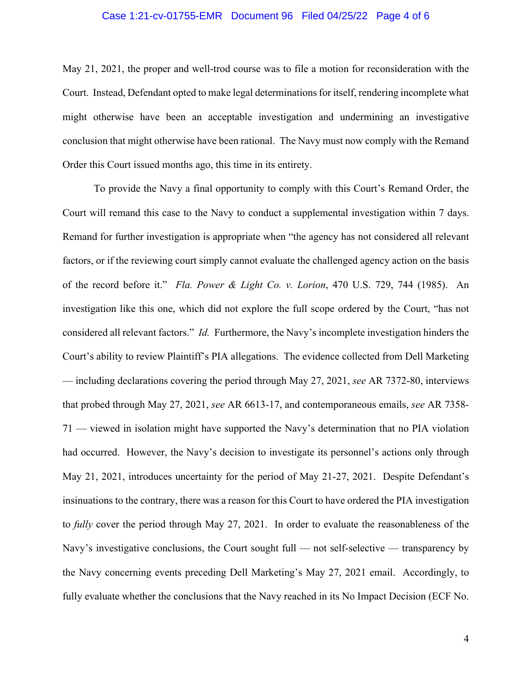## Case 1:21-cv-01755-EMR Document 96 Filed 04/25/22 Page 4 of 6

May 21, 2021, the proper and well-trod course was to file a motion for reconsideration with the Court. Instead, Defendant opted to make legal determinations for itself, rendering incomplete what might otherwise have been an acceptable investigation and undermining an investigative conclusion that might otherwise have been rational. The Navy must now comply with the Remand Order this Court issued months ago, this time in its entirety.

To provide the Navy a final opportunity to comply with this Court's Remand Order, the Court will remand this case to the Navy to conduct a supplemental investigation within 7 days. Remand for further investigation is appropriate when "the agency has not considered all relevant factors, or if the reviewing court simply cannot evaluate the challenged agency action on the basis of the record before it." *Fla. Power & Light Co. v. Lorion*, 470 U.S. 729, 744 (1985). An investigation like this one, which did not explore the full scope ordered by the Court, "has not considered all relevant factors." *Id.* Furthermore, the Navy's incomplete investigation hinders the Court's ability to review Plaintiff's PIA allegations. The evidence collected from Dell Marketing — including declarations covering the period through May 27, 2021, *see* AR 7372-80, interviews that probed through May 27, 2021, *see* AR 6613-17, and contemporaneous emails, *see* AR 7358- 71 — viewed in isolation might have supported the Navy's determination that no PIA violation had occurred. However, the Navy's decision to investigate its personnel's actions only through May 21, 2021, introduces uncertainty for the period of May 21-27, 2021. Despite Defendant's insinuations to the contrary, there was a reason for this Court to have ordered the PIA investigation to *fully* cover the period through May 27, 2021. In order to evaluate the reasonableness of the Navy's investigative conclusions, the Court sought full — not self-selective — transparency by the Navy concerning events preceding Dell Marketing's May 27, 2021 email. Accordingly, to fully evaluate whether the conclusions that the Navy reached in its No Impact Decision (ECF No.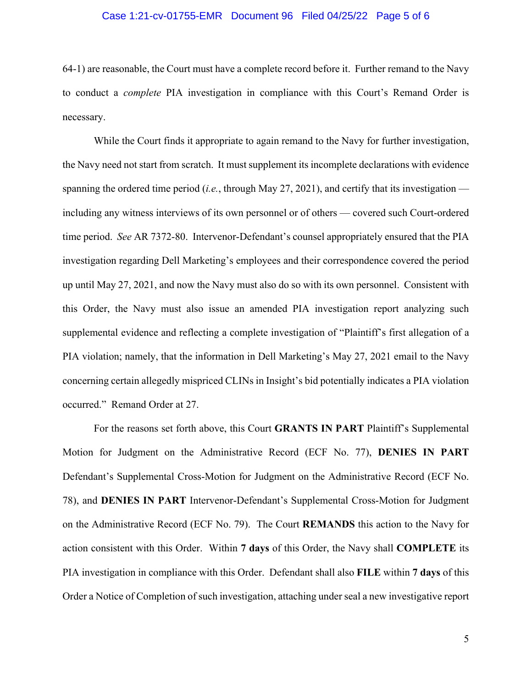## Case 1:21-cv-01755-EMR Document 96 Filed 04/25/22 Page 5 of 6

64-1) are reasonable, the Court must have a complete record before it. Further remand to the Navy to conduct a *complete* PIA investigation in compliance with this Court's Remand Order is necessary.

While the Court finds it appropriate to again remand to the Navy for further investigation, the Navy need not start from scratch. It must supplement its incomplete declarations with evidence spanning the ordered time period (*i.e.*, through May 27, 2021), and certify that its investigation including any witness interviews of its own personnel or of others — covered such Court-ordered time period. *See* AR 7372-80. Intervenor-Defendant's counsel appropriately ensured that the PIA investigation regarding Dell Marketing's employees and their correspondence covered the period up until May 27, 2021, and now the Navy must also do so with its own personnel. Consistent with this Order, the Navy must also issue an amended PIA investigation report analyzing such supplemental evidence and reflecting a complete investigation of "Plaintiff's first allegation of a PIA violation; namely, that the information in Dell Marketing's May 27, 2021 email to the Navy concerning certain allegedly mispriced CLINs in Insight's bid potentially indicates a PIA violation occurred." Remand Order at 27.

For the reasons set forth above, this Court **GRANTS IN PART** Plaintiff's Supplemental Motion for Judgment on the Administrative Record (ECF No. 77), **DENIES IN PART**  Defendant's Supplemental Cross-Motion for Judgment on the Administrative Record (ECF No. 78), and **DENIES IN PART** Intervenor-Defendant's Supplemental Cross-Motion for Judgment on the Administrative Record (ECF No. 79). The Court **REMANDS** this action to the Navy for action consistent with this Order. Within **7 days** of this Order, the Navy shall **COMPLETE** its PIA investigation in compliance with this Order. Defendant shall also **FILE** within **7 days** of this Order a Notice of Completion of such investigation, attaching under seal a new investigative report